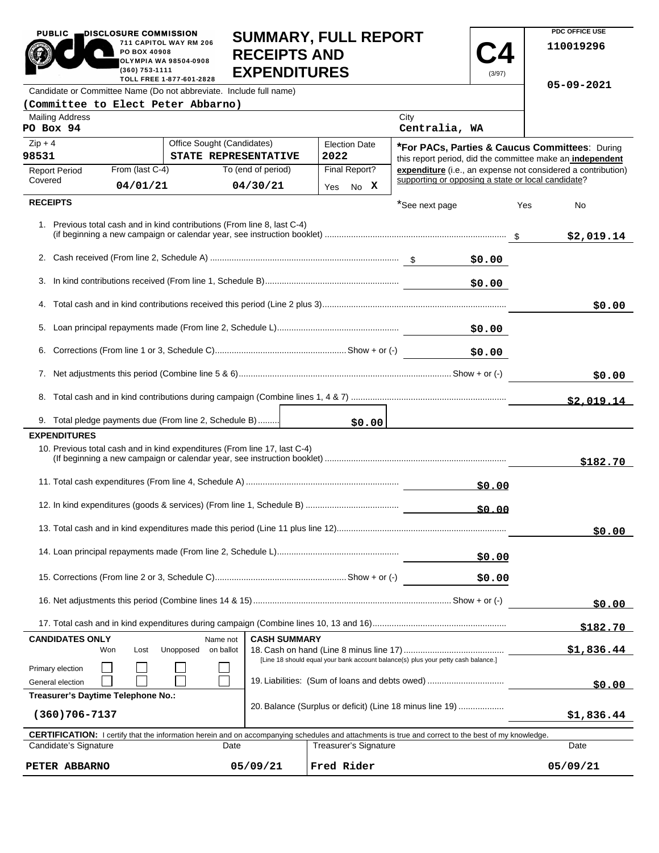| PUBLIC                                                                                         | DISCLUSUKE CUMMISSIUN<br><b>SUMMARY, FULL REPORT</b><br>711 CAPITOL WAY RM 206<br>PO BOX 40908<br><b>RECEIPTS AND</b><br>OLYMPIA WA 98504-0908<br><b>EXPENDITURES</b><br>(360) 753-1111<br>(3/97) |                                                                                                                                                            |                     |                                                |                       |                                                                                   | 110019296 |     |                                                                                                             |
|------------------------------------------------------------------------------------------------|---------------------------------------------------------------------------------------------------------------------------------------------------------------------------------------------------|------------------------------------------------------------------------------------------------------------------------------------------------------------|---------------------|------------------------------------------------|-----------------------|-----------------------------------------------------------------------------------|-----------|-----|-------------------------------------------------------------------------------------------------------------|
| TOLL FREE 1-877-601-2828<br>Candidate or Committee Name (Do not abbreviate. Include full name) |                                                                                                                                                                                                   |                                                                                                                                                            |                     |                                                |                       | 05-09-2021                                                                        |           |     |                                                                                                             |
|                                                                                                |                                                                                                                                                                                                   | (Committee to Elect Peter Abbarno)                                                                                                                         |                     |                                                |                       |                                                                                   |           |     |                                                                                                             |
| <b>Mailing Address</b><br>PO Box 94                                                            |                                                                                                                                                                                                   |                                                                                                                                                            |                     |                                                |                       | City<br>Centralia, WA                                                             |           |     |                                                                                                             |
| $Zip + 4$<br>98531                                                                             | Office Sought (Candidates)<br>STATE REPRESENTATIVE                                                                                                                                                |                                                                                                                                                            |                     | <b>Election Date</b><br>2022                   |                       |                                                                                   |           |     | *For PACs, Parties & Caucus Committees: During<br>this report period, did the committee make an independent |
| <b>Report Period</b>                                                                           | From (last C-4)                                                                                                                                                                                   |                                                                                                                                                            | To (end of period)  |                                                | Final Report?         |                                                                                   |           |     | expenditure (i.e., an expense not considered a contribution)                                                |
| Covered                                                                                        | 04/01/21                                                                                                                                                                                          |                                                                                                                                                            | 04/30/21            |                                                | Yes No X              | supporting or opposing a state or local candidate?                                |           |     |                                                                                                             |
| <b>RECEIPTS</b>                                                                                |                                                                                                                                                                                                   |                                                                                                                                                            |                     |                                                |                       | *See next page                                                                    |           | Yes | No                                                                                                          |
|                                                                                                |                                                                                                                                                                                                   | 1. Previous total cash and in kind contributions (From line 8, last C-4)                                                                                   |                     |                                                |                       |                                                                                   |           |     | \$2,019.14                                                                                                  |
|                                                                                                |                                                                                                                                                                                                   |                                                                                                                                                            |                     |                                                |                       |                                                                                   | \$0.00    |     |                                                                                                             |
|                                                                                                |                                                                                                                                                                                                   |                                                                                                                                                            |                     |                                                |                       |                                                                                   | \$0.00    |     |                                                                                                             |
|                                                                                                |                                                                                                                                                                                                   |                                                                                                                                                            |                     |                                                |                       |                                                                                   |           |     | \$0.00                                                                                                      |
|                                                                                                |                                                                                                                                                                                                   |                                                                                                                                                            |                     |                                                |                       |                                                                                   | \$0.00    |     |                                                                                                             |
|                                                                                                | \$0.00                                                                                                                                                                                            |                                                                                                                                                            |                     |                                                |                       |                                                                                   |           |     |                                                                                                             |
|                                                                                                |                                                                                                                                                                                                   |                                                                                                                                                            |                     |                                                |                       | \$0.00                                                                            |           |     |                                                                                                             |
|                                                                                                |                                                                                                                                                                                                   |                                                                                                                                                            |                     |                                                |                       |                                                                                   |           |     | \$2.019.14                                                                                                  |
|                                                                                                |                                                                                                                                                                                                   | 9. Total pledge payments due (From line 2, Schedule B)                                                                                                     |                     |                                                | \$0.00                |                                                                                   |           |     |                                                                                                             |
| <b>EXPENDITURES</b>                                                                            |                                                                                                                                                                                                   |                                                                                                                                                            |                     |                                                |                       |                                                                                   |           |     |                                                                                                             |
|                                                                                                |                                                                                                                                                                                                   | 10. Previous total cash and in kind expenditures (From line 17, last C-4)                                                                                  |                     |                                                |                       |                                                                                   |           |     | \$182.70                                                                                                    |
|                                                                                                |                                                                                                                                                                                                   |                                                                                                                                                            |                     |                                                |                       |                                                                                   | \$0.00    |     |                                                                                                             |
|                                                                                                |                                                                                                                                                                                                   |                                                                                                                                                            |                     |                                                |                       |                                                                                   | 50.00     |     |                                                                                                             |
|                                                                                                |                                                                                                                                                                                                   |                                                                                                                                                            |                     |                                                |                       |                                                                                   |           |     | \$0.00                                                                                                      |
|                                                                                                |                                                                                                                                                                                                   |                                                                                                                                                            |                     |                                                | \$0.00                |                                                                                   |           |     |                                                                                                             |
|                                                                                                |                                                                                                                                                                                                   |                                                                                                                                                            |                     |                                                | \$0.00                |                                                                                   |           |     |                                                                                                             |
|                                                                                                |                                                                                                                                                                                                   |                                                                                                                                                            |                     |                                                |                       |                                                                                   | \$0.00    |     |                                                                                                             |
|                                                                                                |                                                                                                                                                                                                   |                                                                                                                                                            |                     |                                                |                       |                                                                                   |           |     | \$182.70                                                                                                    |
| <b>CANDIDATES ONLY</b>                                                                         |                                                                                                                                                                                                   | Name not                                                                                                                                                   | <b>CASH SUMMARY</b> |                                                |                       |                                                                                   |           |     |                                                                                                             |
|                                                                                                | Won<br>Lost                                                                                                                                                                                       | Unopposed<br>on ballot                                                                                                                                     |                     |                                                |                       | [Line 18 should equal your bank account balance(s) plus your petty cash balance.] |           |     | \$1,836.44                                                                                                  |
| Primary election<br>General election                                                           |                                                                                                                                                                                                   |                                                                                                                                                            |                     | 19. Liabilities: (Sum of loans and debts owed) |                       |                                                                                   |           |     |                                                                                                             |
| Treasurer's Daytime Telephone No.:                                                             |                                                                                                                                                                                                   |                                                                                                                                                            |                     |                                                |                       |                                                                                   |           |     | \$0.00                                                                                                      |
| $(360)706 - 7137$                                                                              |                                                                                                                                                                                                   |                                                                                                                                                            |                     |                                                |                       | 20. Balance (Surplus or deficit) (Line 18 minus line 19)                          |           |     | \$1,836.44                                                                                                  |
|                                                                                                |                                                                                                                                                                                                   | <b>CERTIFICATION:</b> I certify that the information herein and on accompanying schedules and attachments is true and correct to the best of my knowledge. |                     |                                                |                       |                                                                                   |           |     |                                                                                                             |
| Candidate's Signature                                                                          |                                                                                                                                                                                                   | Date                                                                                                                                                       |                     |                                                | Treasurer's Signature |                                                                                   |           |     | Date                                                                                                        |

**SUMMARY, FULL REPORT** 

**PDC OFFICE USE** 

PUBLIC **DISCLOSURE COMMISSION** 

| <b>CERTIFICATION:</b> I certify that the information herein and on accompanying schedules and attachments is true and correct to the best of my knowledge. |          |                       |          |  |  |  |
|------------------------------------------------------------------------------------------------------------------------------------------------------------|----------|-----------------------|----------|--|--|--|
| Candidate's Signature<br>Date                                                                                                                              |          | Treasurer's Signature | Date     |  |  |  |
| PETER ABBARNO                                                                                                                                              | 05/09/21 | Fred Rider            | 05/09/21 |  |  |  |